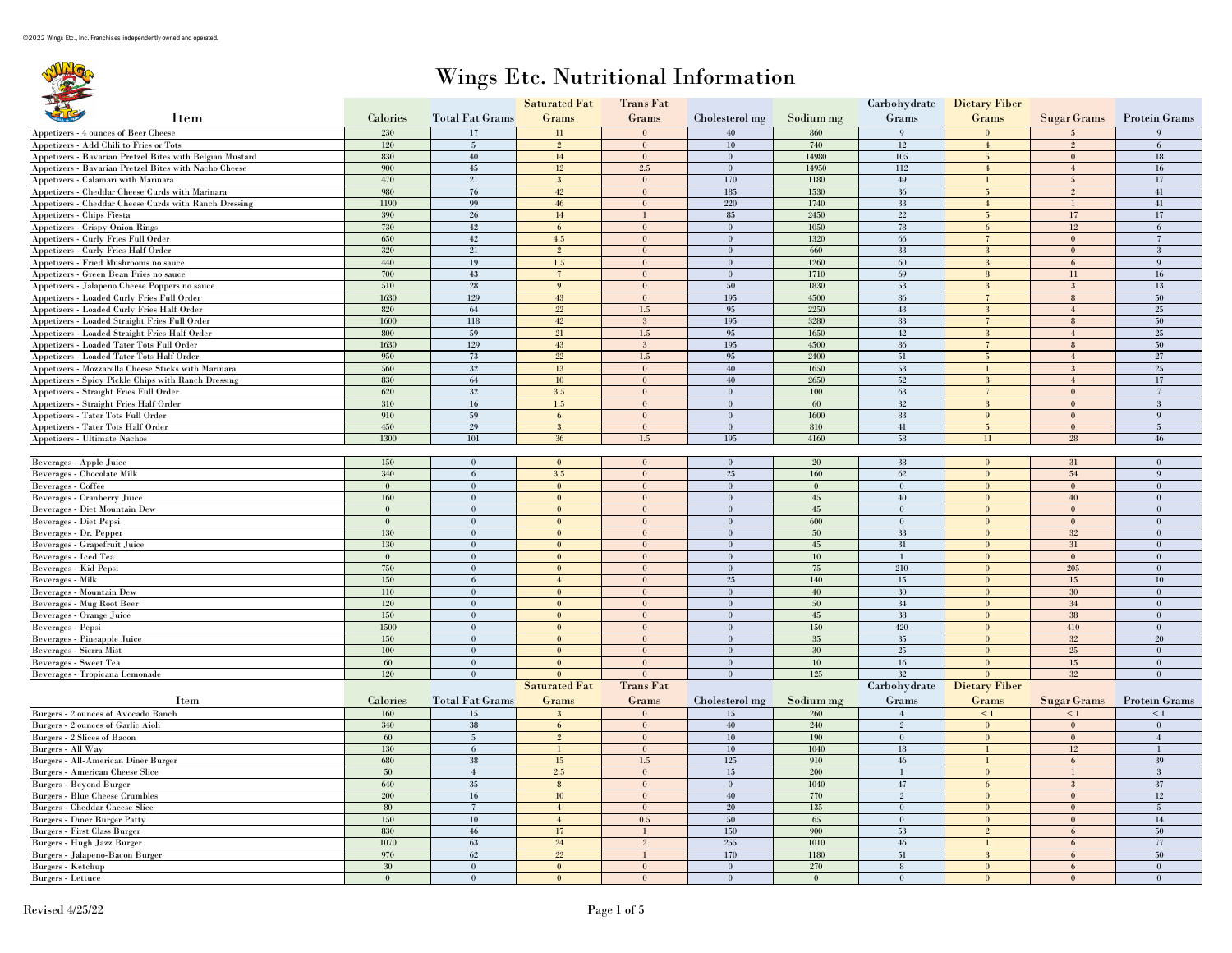## Wings Etc. Nutritional Information

|                                                          |                          |                              | <b>Saturated Fat</b>         | Trans Fat                      |                                    |               |                        | Carbohydrate Dietary Fiber     |                    |                                |
|----------------------------------------------------------|--------------------------|------------------------------|------------------------------|--------------------------------|------------------------------------|---------------|------------------------|--------------------------------|--------------------|--------------------------------|
| Item                                                     | Calories                 | <b>Total Fat Grams</b>       | Grams                        | Grams                          | Cholesterol mg                     | Sodium mg     | Grams                  | Grams                          | Sugar Grams        | <b>Protein Grams</b>           |
| Appetizers - 4 ounces of Beer Cheese                     | 230                      | 17                           | 11                           | $\Omega$                       | 40                                 | 860           | $\mathbf{Q}$           |                                |                    |                                |
| Appetizers - Add Chili to Fries or Tots                  | 120                      | $5\phantom{.0}$              | $\mathfrak{D}$               | $\theta$                       | $10\,$                             | 740           | $12\,$                 | $\overline{4}$                 | $\mathfrak{D}$     | 6                              |
| Appetizers - Bavarian Pretzel Bites with Belgian Mustard | 830                      | 40                           | 14                           | $\bf{0}$                       | $\bf{0}$                           | 14980         | 105                    | 5 <sup>5</sup>                 | $\bf{0}$           | $18\,$                         |
| Appetizers - Bavarian Pretzel Bites with Nacho Cheese    | 900                      | 45                           | 12                           | 2.5                            | $\mathbf{0}$                       | 14950         | 112                    | $\overline{4}$                 | $\overline{4}$     | 16                             |
| Appetizers - Calamari with Marinara                      | 470                      | 21                           | $\mathbf{3}$                 | $\mathbf{0}$                   | 170                                | 1180          | $49\,$                 | $\mathbf{1}$                   | $5\overline{)}$    | 17                             |
| Appetizers - Cheddar Cheese Curds with Marinara          | 980                      | 76                           | 42                           | $\mathbf{0}$                   | 185                                | 1530          | $36\,$                 | $\overline{5}$                 | $\overline{2}$     | 41                             |
| Appetizers - Cheddar Cheese Curds with Ranch Dressing    | 1190                     | 99                           | 46                           | $\theta$                       | 220                                | 1740          | 33                     | $\overline{4}$                 | $\mathbf{1}$       | 41                             |
| Appetizers - Chips Fiesta                                | 390                      | 26                           | $14\,$                       | $\mathbf{1}$                   | 85                                 | 2450          | $22\,$                 | 5 <sup>5</sup>                 | 17                 | 17                             |
| Appetizers - Crispy Onion Rings                          | 730                      | 42                           | 6                            | $\mathbf{0}$                   | $\mathbf{0}$                       | 1050          | 78                     | 6                              | 12                 | 6                              |
| Appetizers - Curly Fries Full Order                      | 650                      | 42                           | 4.5                          | $\theta$                       | $\bf{0}$                           | 1320          | 66                     | $\overline{7}$                 | $\mathbf{0}$       | $\overline{7}$                 |
| Appetizers - Curly Fries Half Order                      | 320                      | 21                           | $\overline{2}$               | $\mathbf{0}$                   | $\mathbf{0}$                       | 660           | 33                     | 3                              | $\mathbf{0}$       | $\mathbf{3}$                   |
| Appetizers - Fried Mushrooms no sauce                    | 440                      | 19                           | 1.5                          | $\mathbf{0}$                   | $\overline{0}$                     | 1260          | 60                     | 3 <sup>2</sup>                 | 6                  | $\mathbf{Q}$                   |
| Appetizers - Green Bean Fries no sauce                   | 700                      | 43                           | $7\phantom{.0}$              | $\mathbf{0}$                   | $\mathbf{0}$                       | 1710          | 69                     | 8                              | 11                 | 16                             |
| Appetizers - Jalapeno Cheese Poppers no sauce            | 510                      | 28                           | $\mathbf{Q}$                 | $\mathbf{0}$                   | 50                                 | 1830          | $53\,$                 | 3 <sup>2</sup>                 | $\mathbf{3}$       | 13                             |
| Appetizers - Loaded Curly Fries Full Order               | 1630                     | 129                          | 43                           | $\mathbf{0}$                   | 195                                | 4500          | 86                     | $\overline{7}$                 | $\,$ 8 $\,$        | 50                             |
| Appetizers - Loaded Curly Fries Half Order               | 820                      | 64                           | 22                           | $1.5$                          | 95                                 | 2250          | 43                     | 3                              | $\overline{4}$     | 25                             |
| Appetizers - Loaded Straight Fries Full Order            | 1600                     | 118                          | 42                           | $\mathbf{3}$                   | 195                                | 3280          | 83                     | $\overline{7}$                 | 8                  | 50                             |
| Appetizers - Loaded Straight Fries Half Order            | 800                      | 59                           | 21                           | 1.5                            | 95                                 | 1650          | 42                     | $\overline{3}$                 | $\overline{4}$     | 25                             |
| Appetizers - Loaded Tater Tots Full Order                | 1630                     | 129                          | 43                           | 3                              | 195                                | 4500          | 86                     | $\overline{7}$                 | $8\phantom{.0}$    | 50                             |
| Appetizers - Loaded Tater Tots Half Order                | 950                      | 73                           | 22                           | $1.5$                          | 95                                 | 2400          | $51\,$                 | $\overline{5}$                 | $\overline{4}$     | 27                             |
| Appetizers - Mozzarella Cheese Sticks with Marinara      | 560                      | 32                           | 13                           | $\mathbf{0}$                   | 40                                 | 1650          | 53                     |                                | $\mathbf{3}$       | $25\,$                         |
|                                                          | 830                      | 64                           | 10                           | $\mathbf{0}$                   | 40                                 | 2650          | 52                     | 1<br>$\mathbf{3}$              | $\overline{4}$     | 17                             |
| Appetizers - Spicy Pickle Chips with Ranch Dressing      | 620                      | $32\,$                       | 3.5                          | $\mathbf{0}$                   | $\bf{0}$                           |               | 63                     | $\overline{7}$                 | $\mathbf{0}$       | $\overline{7}$                 |
| Appetizers - Straight Fries Full Order                   |                          |                              |                              | $\theta$                       |                                    | $100\,$       |                        | $\overline{3}$                 |                    |                                |
| Appetizers - Straight Fries Half Order                   | 310<br>910               | 16                           | 1.5                          |                                | $\bf{0}$                           | 60<br>1600    | $32\,$                 | $\mathbf{Q}$                   | $\mathbf{0}$       | $\mathbf{3}$<br>$\mathbf{Q}$   |
| Appetizers - Tater Tots Full Order                       | 450                      | 59                           | 6                            | $\mathbf{0}$                   | $\bf{0}$                           |               | 83                     | $\overline{5}$                 | $\mathbf{0}$       |                                |
| Appetizers - Tater Tots Half Order                       |                          | 29                           | $\mathbf{3}$                 | $\bf{0}$                       | $\overline{0}$                     | 810           | 41                     |                                | $\mathbf{0}$       | $\overline{5}$                 |
| Appetizers - Ultimate Nachos                             | 1300                     | 101                          | 36                           | 1.5                            | 195                                | 4160          | 58                     | $11\,$                         | 28                 | 46                             |
|                                                          |                          |                              | $\Omega$                     |                                |                                    |               |                        |                                |                    | $\Omega$                       |
| Beverages - Apple Juice                                  | 150                      | $\mathbf{0}$                 |                              | $\mathbf{0}$                   | $\bf{0}$                           | $20\,$        | $38\,$                 | $\mathbf{0}$                   | $31\,$             |                                |
| Beverages - Chocolate Milk                               | 340                      | 6                            | 3.5                          | $\bf{0}$                       | 25                                 | 160           | 62                     | $\mathbf{0}$<br>$\theta$       | 54                 | -9                             |
| Beverages - Coffee                                       | $\mathbf{0}$             | $\mathbf{0}$                 | $\mathbf{0}$                 | $\mathbf{0}$                   | $\bf{0}$                           | $\mathbf{0}$  | $\mathbf{0}$           | $\theta$                       | $\mathbf{0}$<br>40 | $\mathbf{0}$                   |
| Beverages - Cranberry Juice                              | 160                      | $\mathbf{0}$                 | $\mathbf{0}$<br>$\mathbf{0}$ | $\mathbf{0}$                   | $\boldsymbol{0}$<br>$\overline{0}$ | $45\,$        | 40                     |                                |                    | $\bf{0}$<br>$\theta$           |
| Beverages - Diet Mountain Dew                            | $\mathbf{0}$<br>$\theta$ | $\mathbf{0}$                 |                              | $\mathbf{0}$                   |                                    | 45            | $\mathbf{0}$           | $\mathbf{0}$                   | $\mathbf{0}$       | $\theta$                       |
| Beverages - Diet Pepsi                                   |                          | $\mathbf{0}$                 | $\mathbf{0}$                 | $\mathbf{0}$                   | $\mathbf{0}$                       | 600           | $\mathbf{0}$           | $\mathbf{0}$                   | $\bf{0}$           |                                |
| Beverages - Dr. Pepper                                   | 130                      | $\mathbf{0}$<br>$\theta$     | $\mathbf{0}$                 | $\mathbf{0}$                   | $\bf{0}$                           | 50            | 33                     | $\mathbf{0}$                   | 32                 | $\bf{0}$                       |
| Beverages - Grapefruit Juice                             | 130                      |                              | $\mathbf{0}$                 | $\mathbf{0}$<br>$\theta$       | $\bf{0}$                           | $45\,$        | $31\,$                 | $\overline{0}$<br>$\theta$     | 31                 | $\overline{0}$                 |
| Beverages - Iced Tea                                     | $\mathbf{0}$             | $\mathbf{0}$<br>$\Omega$     | $\mathbf{0}$<br>$\Omega$     |                                | $\bf{0}$                           | $10\,$        | $\mathbf{1}$           |                                | $\mathbf{0}$       | $\mathbf{0}$<br>$\theta$       |
| Beverages - Kid Pepsi                                    | 750<br>150               |                              | $\overline{4}$               | $\mathbf{0}$                   | $\bf{0}$<br>25                     | 75<br>140     | 210<br>15              | $\mathbf{0}$                   | 205                | $10\,$                         |
| Beverages - Milk                                         |                          | 6<br>$\theta$                | $\theta$                     | $\bf{0}$                       | $\overline{0}$                     |               |                        | $\mathbf{0}$<br>$\theta$       | 15                 | $\theta$                       |
| Beverages - Mountain Dew                                 | 110<br>120               |                              |                              | $\theta$                       |                                    | 40            | 30                     |                                | 30                 |                                |
| Beverages - Mug Root Beer                                | 150                      | $\mathbf{0}$<br>$\theta$     | $\mathbf{0}$<br>$\mathbf{0}$ | $\mathbf{0}$<br>$\theta$       | $\bf{0}$<br>$\mathbf{0}$           | $50\,$<br>45  | $34\,$                 | $\mathbf{0}$<br>$\theta$       | $34\,$             | $\bf{0}$<br>$\theta$           |
| Beverages - Orange Juice                                 | 1500                     |                              |                              |                                |                                    |               | 38                     |                                | $38\,$             | $\theta$                       |
| Beverages - Pepsi                                        |                          | $\mathbf{0}$                 | $\theta$                     | $\mathbf{0}$                   | $\bf{0}$                           | 150           | 420                    | $\mathbf{0}$                   | 410                |                                |
| Beverages - Pineapple Juice<br>Beverages - Sierra Mist   | 150<br>100               | $\mathbf{0}$<br>$\theta$     | $\mathbf{0}$<br>$\mathbf{0}$ | $\mathbf{0}$<br>$\mathbf{0}$   | $\mathbf{0}$<br>$\mathbf{0}$       | 35<br>$30\,$  | 35<br>$25\,$           | $\mathbf{0}$<br>$\overline{0}$ | 32<br>$25\,$       | $20\,$<br>$\mathbf{0}$         |
|                                                          |                          |                              |                              |                                |                                    |               |                        |                                |                    |                                |
| Beverages - Sweet Tea                                    | 60<br>120                | $\mathbf{0}$<br>$\mathbf{0}$ | $\mathbf{0}$<br>$\Omega$     | $\mathbf{0}$<br>$\overline{0}$ | $\bf{0}$<br>$\overline{0}$         | $10\,$<br>125 | $16\,$<br>32           | $\mathbf{0}$<br>$\Omega$       | 15<br>32           | $\mathbf{0}$<br>$\overline{0}$ |
| Beverages - Tropicana Lemonade                           |                          |                              | <b>Saturated Fat</b>         | Trans Fat                      |                                    |               |                        |                                |                    |                                |
|                                                          |                          |                              |                              |                                |                                    |               | Carbohydrate           | Dietary Fiber                  |                    |                                |
| Item                                                     | Calories                 | <b>Total Fat Grams</b>       | Grams                        | Grams                          | Cholesterol mg                     | Sodium mg     | Grams                  | Grams                          | Sugar Grams        | <b>Protein Grams</b>           |
| Burgers - 2 ounces of Avocado Ranch                      | 160                      | 15                           | $\overline{3}$               | $\theta$                       | 15                                 | 260           | $\boldsymbol{\Lambda}$ | $\leq 1$                       | $\leq 1$           | < 1                            |
| Burgers - 2 ounces of Garlic Aioli                       | 340                      | $38\,$                       | 6                            | $\bf{0}$                       | 40                                 | 240           | $\overline{2}$         | $\boldsymbol{0}$               | $\mathbf{0}$       | $\mathbf{0}$                   |
| Burgers - 2 Slices of Bacon                              | 60                       | $5\overline{ }$              | $\overline{2}$               | $\mathbf{0}$                   | 10 <sup>10</sup>                   | 190           | $\bf{0}$               | $\mathbf{0}$                   | $\mathbf{0}$       | $\mathbf{4}$                   |
| Burgers - All Way                                        | 130                      | 6                            | $\mathbf{1}$                 | $\mathbf{0}$                   | $10\,$                             | $1040\,$      | 18                     | $\mathbf{1}$                   | 12                 | $\mathbf{1}$                   |
| Burgers - All-American Diner Burger                      | 680                      | 38                           | $15\,$                       | $1.5\,$                        | 125                                | 910           | $46\,$                 | $\mathbf{I}$                   | 6                  | 39                             |
| Burgers - American Cheese Slice                          | 50                       | $\overline{4}$               | 2.5                          | $\mathbf{0}$                   | $15\,$                             | 200           | 1                      | $\mathbf{0}$                   |                    | 3                              |
| <b>Burgers - Bevond Burger</b>                           | 640                      | 35                           | 8                            | $\theta$                       | $\bf{0}$                           | 1040          | 47                     | 6                              | $\mathbf{3}$       | 37                             |
| <b>Burgers - Blue Cheese Crumbles</b>                    | 200                      | $16\,$                       | 10                           | $\mathbf{0}$                   | 40                                 | 770           | $\,2\,$                | $\mathbf{0}$                   | $\mathbf{0}$       | 12                             |
| <b>Burgers - Cheddar Cheese Slice</b>                    | 80                       | $\overline{7}$               | $\overline{4}$               | $\mathbf{0}$                   | 20                                 | 135           | $\mathbf{0}$           | $\mathbf{0}$                   | $\mathbf{0}$       | $5\overline{)}$                |
| <b>Burgers - Diner Burger Patty</b>                      | 150                      | $10\,$                       | $\overline{4}$               | 0.5                            | 50                                 | $65\,$        | $\boldsymbol{0}$       | $\overline{\mathbf{0}}$        | $\theta$           | $14\,$                         |
| Burgers - First Class Burger                             | 830                      | 46                           | 17                           | $\mathbf{1}$                   | 150                                | 900           | 53                     | $\overline{2}$                 | 6                  | 50                             |
| Burgers - Hugh Jazz Burger                               | 1070                     | 63                           | 24                           | $\overline{2}$                 | 255                                | 1010          | 46                     | $\mathbf{1}$                   | 6                  | 77                             |
| Burgers - Jalapeno-Bacon Burger                          | 970                      | 62                           | 22                           | $\mathbf{1}$                   | 170                                | 1180          | 51                     | 3                              | 6                  | 50                             |
| Burgers - Ketchup                                        | 30 <sup>°</sup>          | $\mathbf{0}$                 | $\mathbf{0}$                 | $\mathbf{0}$                   | $\bf{0}$                           | 270           | $\, 8$                 | $\mathbf{0}$                   | 6                  | $\mathbf{0}$                   |
| Burgers - Lettuce                                        | $\mathbf{0}$             | $\mathbf{0}$                 | $\mathbf{0}$                 | $\theta$                       | $\bf{0}$                           | $\mathbf{0}$  | $\mathbf{0}$           | $\mathbf{0}$                   | $\theta$           | $\theta$                       |
|                                                          |                          |                              |                              |                                |                                    |               |                        |                                |                    |                                |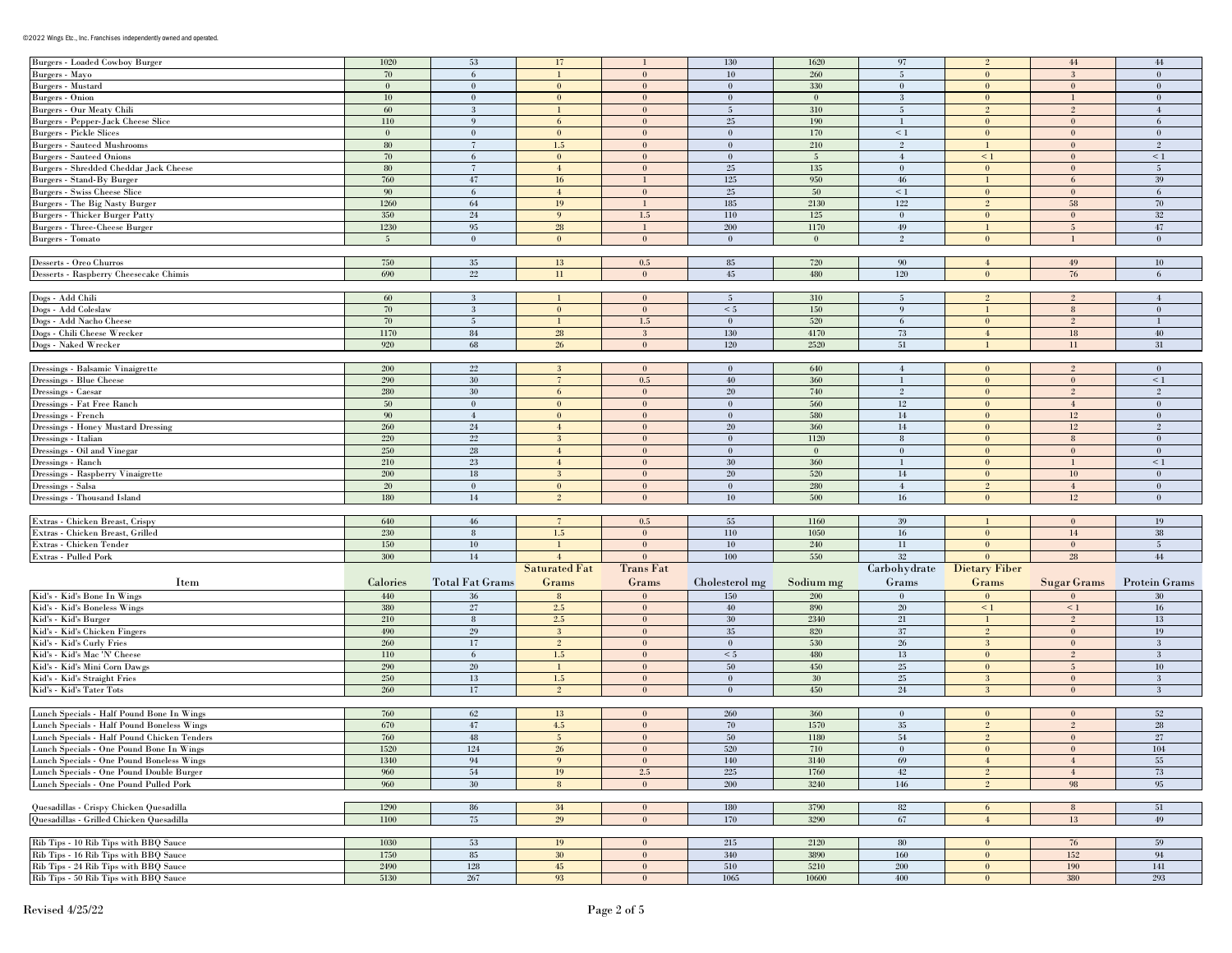## ©2022 Wings Etc., Inc. Franchises independently owned and operated.

| <b>Burgers - Loaded Cowboy Burger</b>                                          | 1020         | 53                     | 17                      |                                  | 130             | 1620            | 97                      |                              | $44\,$                  | 44                   |
|--------------------------------------------------------------------------------|--------------|------------------------|-------------------------|----------------------------------|-----------------|-----------------|-------------------------|------------------------------|-------------------------|----------------------|
| Burgers - Mayo                                                                 | 70           | 6                      |                         | $\bf{0}$                         | $10\,$          | 260             | 5                       | $\bf{0}$                     | 3                       | $\theta$             |
| Burgers - Mustard                                                              | $\mathbf{0}$ | $\theta$               | $\mathbf{0}$            | $\mathbf{0}$                     | $\mathbf{0}$    | 330             | $\mathbf{0}$            | $\mathbf{0}$                 | $\mathbf{0}$            | $\theta$             |
| Burgers - Onion                                                                | 10           | $\bf{0}$               | $\bf{0}$                | $\mathbf{0}$                     | $\bf{0}$        | $\mathbf{0}$    | 3                       | $\mathbf{0}$                 | $\mathbf{1}$            | $\bf{0}$             |
|                                                                                |              |                        |                         |                                  |                 |                 |                         | $\mathfrak{D}$               |                         |                      |
| Burgers - Our Meaty Chili                                                      | 60           | 3                      |                         | $\bf{0}$                         | 5               | 310             | $\overline{\mathbf{5}}$ |                              | $\overline{2}$          |                      |
| Burgers - Pepper-Jack Cheese Slice                                             | 110          | 9                      | 6                       | $\mathbf{0}$                     | 25              | 190             | -1                      | $\bf{0}$                     | $\bf{0}$                | 6                    |
| <b>Burgers - Pickle Slices</b>                                                 | $\mathbf{0}$ | $\bf{0}$               | $\mathbf{0}$            | $\bf{0}$                         | $\mathbf{0}$    | 170             | $\leq 1$                | $\mathbf{0}$                 | $\mathbf{0}$            | $\mathbf{0}$         |
| <b>Burgers - Sauteed Mushrooms</b>                                             | ${\bf 80}$   | $\overline{7}$         | $1.5\,$                 | $\mathbf{0}$                     | $\bf{0}$        | 210             | $\overline{2}$          |                              | $\mathbf{0}$            | $\overline{2}$       |
| <b>Burgers - Sauteed Onions</b>                                                | 70           | 6                      | $\mathbf{0}$            | $\mathbf{0}$                     | $\mathbf{0}$    | $5\phantom{.0}$ | $\overline{4}$          | $\leq 1$                     | $\mathbf{0}$            | $\leq 1$             |
|                                                                                |              |                        |                         |                                  |                 |                 |                         |                              |                         |                      |
| Burgers - Shredded Cheddar Jack Cheese                                         | 80           | $\overline{7}$         | $\overline{4}$          | $\mathbf{0}$                     | 25              | 135             | $\bf{0}$                | $\bf{0}$                     | $\mathbf{0}$            | $5\phantom{.0}$      |
| Burgers - Stand-By Burger                                                      | 760          | 47                     | 16                      | $\mathbf{1}$                     | $125\,$         | 950             | 46                      |                              | 6                       | 39                   |
| <b>Burgers - Swiss Cheese Slice</b>                                            | - 90         | 6                      | $\overline{4}$          | $\mathbf{0}$                     | 25              | 50              | $\leq 1$                | $\bf{0}$                     | $\bf{0}$                | 6                    |
| Burgers - The Big Nasty Burger                                                 | 1260         | 64                     | 19                      | $\mathbf{1}$                     | 185             | 2130            | 122                     | $\overline{2}$               | 58                      | 70                   |
| <b>Burgers - Thicker Burger Patty</b>                                          | 350          | $24\,$                 | 9                       | $1.5\,$                          | $110\,$         | 125             | $\bf{0}$                | $\bf{0}$                     | $\bf{0}$                | 32                   |
|                                                                                |              |                        |                         | $\mathbf{1}$                     | 200             | 1170            | 49                      |                              |                         |                      |
| Burgers - Three-Cheese Burger                                                  | 1230         | 95                     | 28                      |                                  |                 |                 |                         |                              | $5\overline{)}$         | $47\,$               |
| <b>Burgers</b> - Tomato                                                        | 5            | $\bf{0}$               | $\mathbf{0}$            | $\mathbf{0}$                     | $\mathbf{0}$    | $\bf{0}$        | 2                       | $\mathbf{0}$                 | $\mathbf{1}$            | $\overline{0}$       |
|                                                                                |              |                        |                         |                                  |                 |                 |                         |                              |                         |                      |
| Desserts - Oreo Churros                                                        | 750          | 35                     | 13                      | $0.5\,$                          | 85              | 720             | 90                      | $\overline{4}$               | 49                      | $10\,$               |
| Desserts - Raspberry Cheesecake Chimis                                         | 690          | $22\,$                 | 11                      | $\bf{0}$                         | 45              | 480             | 120                     | $\theta$                     | 76                      | 6                    |
|                                                                                |              |                        |                         |                                  |                 |                 |                         |                              |                         |                      |
|                                                                                |              |                        |                         |                                  |                 |                 |                         |                              |                         |                      |
| Dogs - Add Chili                                                               | 60           | $\mathbf{3}$           |                         | $\mathbf{0}$                     | $5\overline{)}$ | 310             | $5\phantom{.0}$         | $\overline{2}$               | $\overline{2}$          |                      |
| Dogs - Add Coleslaw                                                            | $70\,$       | 3                      | $\mathbf{0}$            | $\boldsymbol{0}$                 | $\leq 5$        | 150             | 9                       |                              | $\bf 8$                 | $\theta$             |
| Dogs - Add Nacho Cheese                                                        | 70           | $\overline{5}$         |                         | $1.5\,$                          | $\bf{0}$        | 520             | 6                       | $\mathbf{0}$                 | $\overline{2}$          |                      |
| Dogs - Chili Cheese Wrecker                                                    | 1170         | $\bf 84$               | ${\bf 28}$              | $\mathbf{3}$                     | 130             | 4170            | $73\,$                  | $\overline{4}$               | $18\,$                  | 40                   |
| Dogs - Naked Wrecker                                                           | 920          | 68                     | 26                      | $\mathbf{0}$                     | 120             | 2520            | 51                      |                              | 11                      | 31                   |
|                                                                                |              |                        |                         |                                  |                 |                 |                         |                              |                         |                      |
|                                                                                |              |                        |                         |                                  |                 |                 |                         |                              |                         |                      |
| Dressings - Balsamic Vinaigrette                                               | 200          | $22\,$                 | 3                       | $\bf{0}$                         | $\bf{0}$        | 640             | $\overline{4}$          | $\bf{0}$                     | $\overline{2}$          | $\theta$             |
| Dressings - Blue Cheese                                                        | 290          | $30\,$                 | $\overline{7}$          | $\rm 0.5$                        | 40              | 360             | -1                      | $\mathbf{0}$                 | $\boldsymbol{0}$        | $\leq 1$             |
| Dressings - Caesar                                                             | 280          | $30\,$                 | 6                       | $\mathbf{0}$                     | 20              | 740             | $\overline{2}$          | $\bf{0}$                     | $2^{\circ}$             | 2                    |
| Dressings - Fat Free Ranch                                                     | $50\,$       | $\bf{0}$               | $\mathbf{0}$            | $\mathbf{0}$                     | $\bf{0}$        | 560             | $12\,$                  | $\mathbf{0}$                 | $\overline{4}$          | $\theta$             |
|                                                                                |              |                        |                         |                                  |                 |                 |                         |                              |                         |                      |
| Dressings - French                                                             | 90           | $\overline{4}$         | $\bf{0}$                | $\mathbf{0}$                     | $\bf{0}$        | 580             | $14\phantom{.}$         | $\bf{0}$                     | $12\,$                  | $\mathbf{0}$         |
| Dressings - Honey Mustard Dressing                                             | 260          | $24\,$                 | $\overline{4}$          | $\mathbf{0}$                     | $20\,$          | 360             | $14\,$                  | $\mathbf{0}$                 | $12\,$                  | $\mathfrak{D}$       |
| Dressings - Italian                                                            | 220          | $22\,$                 | $\mathbf{3}$            | $\mathbf{0}$                     | $\bf{0}$        | 1120            | 8                       | $\mathbf{0}$                 | 8                       | $\bf{0}$             |
| Dressings - Oil and Vinegar                                                    | 250          | 28                     | $\overline{4}$          | $\bf{0}$                         | $\bf{0}$        | $\mathbf{0}$    | $\bf{0}$                | $\bf{0}$                     | $\bf{0}$                | $\theta$             |
| Dressings - Ranch                                                              | 210          | $23\,$                 | $\overline{4}$          | $\mathbf{0}$                     | 30              | 360             | $\mathbf{1}$            | $\bf{0}$                     | $\mathbf{1}$            | $\leq$ 1             |
|                                                                                |              |                        |                         |                                  |                 |                 |                         |                              |                         |                      |
| Dressings - Raspberry Vinaigrette                                              | 200          | $18\,$                 | $\mathbf{3}$            | $\bf{0}$                         | 20              | 520             | 14                      | $\mathbf{0}$                 | $10\,$                  | $\theta$             |
| Dressings - Salsa                                                              | 20           | $\bf{0}$               | $\bf{0}$                | $\mathbf{0}$                     | $\mathbf{0}$    | 280             | $\overline{4}$          | $\overline{2}$               | $\overline{4}$          | $\bf{0}$             |
| Dressings - Thousand Island                                                    | 180          | $14\phantom{.}$        | $\overline{2}$          | $\bf{0}$                         | 10              | 500             | 16                      | $\bf{0}$                     | $12\,$                  | $\theta$             |
|                                                                                |              |                        |                         |                                  |                 |                 |                         |                              |                         |                      |
| Extras - Chicken Breast, Crispy                                                | 640          | 46                     | $\tau$                  | 0.5                              | 55              | 1160            | 39                      |                              | $\mathbf{0}$            | 19                   |
|                                                                                |              |                        |                         |                                  |                 |                 |                         | $\mathbf{0}$                 |                         |                      |
| Extras - Chicken Breast, Grilled                                               | 230          | 8                      | 1.5                     | $\mathbf{0}$                     | $110\,$         | $1050\,$        | 16                      |                              | $14\,$                  | 38                   |
| Extras - Chicken Tender                                                        | 150          | $10\,$                 |                         | $\bf{0}$                         | $10\,$          | 240             | 11                      | $\mathbf{0}$                 | $\mathbf{0}$            | $\overline{5}$       |
| Extras - Pulled Pork                                                           | 300          | $14\phantom{.}$        | $\overline{4}$          | $\theta$                         | 100             | 550             | 32                      | $\mathbf{0}$                 | 28                      | 44                   |
|                                                                                |              |                        | <b>Saturated Fat</b>    | <b>Trans Fat</b>                 |                 |                 | Carbohydrate            | Dietary Fiber                |                         |                      |
|                                                                                |              |                        |                         |                                  |                 |                 |                         |                              |                         |                      |
| Item                                                                           | Calories     | <b>Total Fat Grams</b> | Grams                   | Grams                            | Cholesterol mg  | Sodium mg       | Grams                   | Grams                        | Sugar Grams             | <b>Protein Grams</b> |
| Kid's - Kid's Bone In Wings                                                    | 440          | 36                     | $8\phantom{1}$          | $\theta$                         | 150             | 200             | $\mathbf{0}$            | $\theta$                     | $\mathbf{0}$            | 30                   |
| Kid's - Kid's Boneless Wings                                                   | 380          | $27\,$                 | 2.5                     | $\mathbf{0}$                     | 40              | 890             | 20                      | $\leq 1$                     | $\leq 1$                | 16                   |
| Kid's - Kid's Burger                                                           | 210          | 8                      | $2.5\,$                 | $\mathbf{0}$                     | 30              | $2340\,$        | 21                      | $\mathbf{1}$                 | $\overline{2}$          | 13                   |
|                                                                                | 490          | 29                     | $\overline{\mathbf{3}}$ | $\mathbf{0}$                     | $35\,$          | 820             | 37                      | $\overline{2}$               | $\bf{0}$                | 19                   |
| Kid's - Kid's Chicken Fingers                                                  |              |                        |                         |                                  |                 |                 |                         |                              |                         |                      |
| Kid's - Kid's Curly Fries                                                      | 260          | 17                     | $\sqrt{2}$              | $\mathbf{0}$                     | $\bf{0}$        | 530             | 26                      | $\mathbf{3}$                 | $\mathbf{0}$            | -3                   |
| Kid's - Kid's Mac 'N' Cheese                                                   |              | 6                      | $1.5\,$                 | $\boldsymbol{0}$                 |                 | 480             | 13                      | $\bf{0}$                     | $2^{\circ}$             | $\mathbf{3}$         |
|                                                                                | $110\,$      |                        |                         |                                  | $\leq 5$        |                 |                         |                              |                         | $10\,$               |
| Kid's - Kid's Mini Corn Dawgs                                                  | 290          | $20\,$                 |                         | $\bf{0}$                         | $50\,$          | 450             | 25                      | $\mathbf{0}$                 | $\overline{\mathbf{5}}$ |                      |
|                                                                                |              |                        |                         |                                  |                 |                 |                         |                              |                         |                      |
| Kid's - Kid's Straight Fries                                                   | 250          | $13\,$                 | $1.5\,$                 | $\mathbf{0}$                     | $\mathbf{0}$    | $30\,$          | $25\,$                  | 3                            | $\bf{0}$                | 3                    |
| Kid's - Kid's Tater Tots                                                       | 260          | 17                     | $\overline{2}$          | $\mathbf{0}$                     | $\bf{0}$        | 450             | $24\,$                  | 3                            | $\mathbf{0}$            | 3                    |
|                                                                                |              |                        |                         |                                  |                 |                 |                         |                              |                         |                      |
| Lunch Specials - Half Pound Bone In Wings                                      | 760          | 62                     | $13\,$                  | $\bf{0}$                         | 260             | 360             | $\theta$                | $\theta$                     | $\mathbf{0}$            | 52                   |
| Lunch Specials - Half Pound Boneless Wings                                     | 670          | 47                     | $4.5\,$                 | $\bf{0}$                         | 70              | 1570            | $35\,$                  | $\overline{2}$               | $\overline{2}$          | 28                   |
|                                                                                |              |                        |                         |                                  |                 |                 |                         |                              |                         |                      |
| Lunch Specials - Half Pound Chicken Tenders                                    | 760          | 48                     | $\sqrt{5}$              | $\mathbf{0}$                     | 50              | 1180            | ${\bf 54}$              | $2^{\circ}$                  | $\mathbf{0}$            | $27\,$               |
| Lunch Specials - One Pound Bone In Wings                                       | 1920         | 124                    | 26                      |                                  | 520             | (10)            |                         |                              | v.                      | $104\,$              |
| Lunch Specials - One Pound Boneless Wings                                      | $1340\,$     | 94                     | 9                       | $\mathbf{0}$                     | 140             | 3140            | 69                      | $\overline{4}$               | 4                       | 55                   |
| Lunch Specials - One Pound Double Burger                                       | 960          | ${\bf 54}$             | 19                      | $2.5\,$                          | $225\,$         | 1760            | 42                      | $2^{\circ}$                  | $\overline{4}$          | 73                   |
| Lunch Specials - One Pound Pulled Pork                                         | 960          | 30 <sup>°</sup>        | $8\phantom{.0}$         | $\mathbf{0}$                     | 200             | 3240            | 146                     | $2^{\circ}$                  | 98                      | 95                   |
|                                                                                |              |                        |                         |                                  |                 |                 |                         |                              |                         |                      |
|                                                                                |              |                        |                         |                                  |                 |                 |                         |                              |                         |                      |
| Quesadillas - Crispy Chicken Quesadilla                                        | 1290         | 86                     | 34                      | $\mathbf{0}$                     | 180             | 3790            | 82                      | 6                            | 8                       | 51                   |
| Quesadillas - Grilled Chicken Quesadilla                                       | 1100         | 75                     | 29                      | $\mathbf{0}$                     | 170             | 3290            | 67                      | $\overline{4}$               | 13                      | 49                   |
|                                                                                |              |                        |                         |                                  |                 |                 |                         |                              |                         |                      |
| Rib Tips - 10 Rib Tips with BBQ Sauce                                          | $1030\,$     | 53                     | 19                      | $\bf{0}$                         | 215             | $2120\,$        | 80                      | $\bf{0}$                     | 76                      | 59                   |
|                                                                                |              |                        |                         |                                  |                 |                 |                         | $\mathbf{0}$                 |                         |                      |
| Rib Tips - 16 Rib Tips with BBQ Sauce                                          | 1750         | $85\,$                 | $30\,$                  | $\boldsymbol{0}$                 | 340             | 3890            | 160                     |                              | 152                     | 94                   |
| Rib Tips - 24 Rib Tips with BBQ Sauce<br>Rib Tips - 50 Rib Tips with BBQ Sauce | 2490<br>5130 | $128\,$<br>$267\,$     | $45\,$<br>93            | $\boldsymbol{0}$<br>$\mathbf{0}$ | 510<br>1065     | 5210<br>10600   | $200\,$<br>400          | $\mathbf{0}$<br>$\mathbf{0}$ | 190<br>380              | 141<br>293           |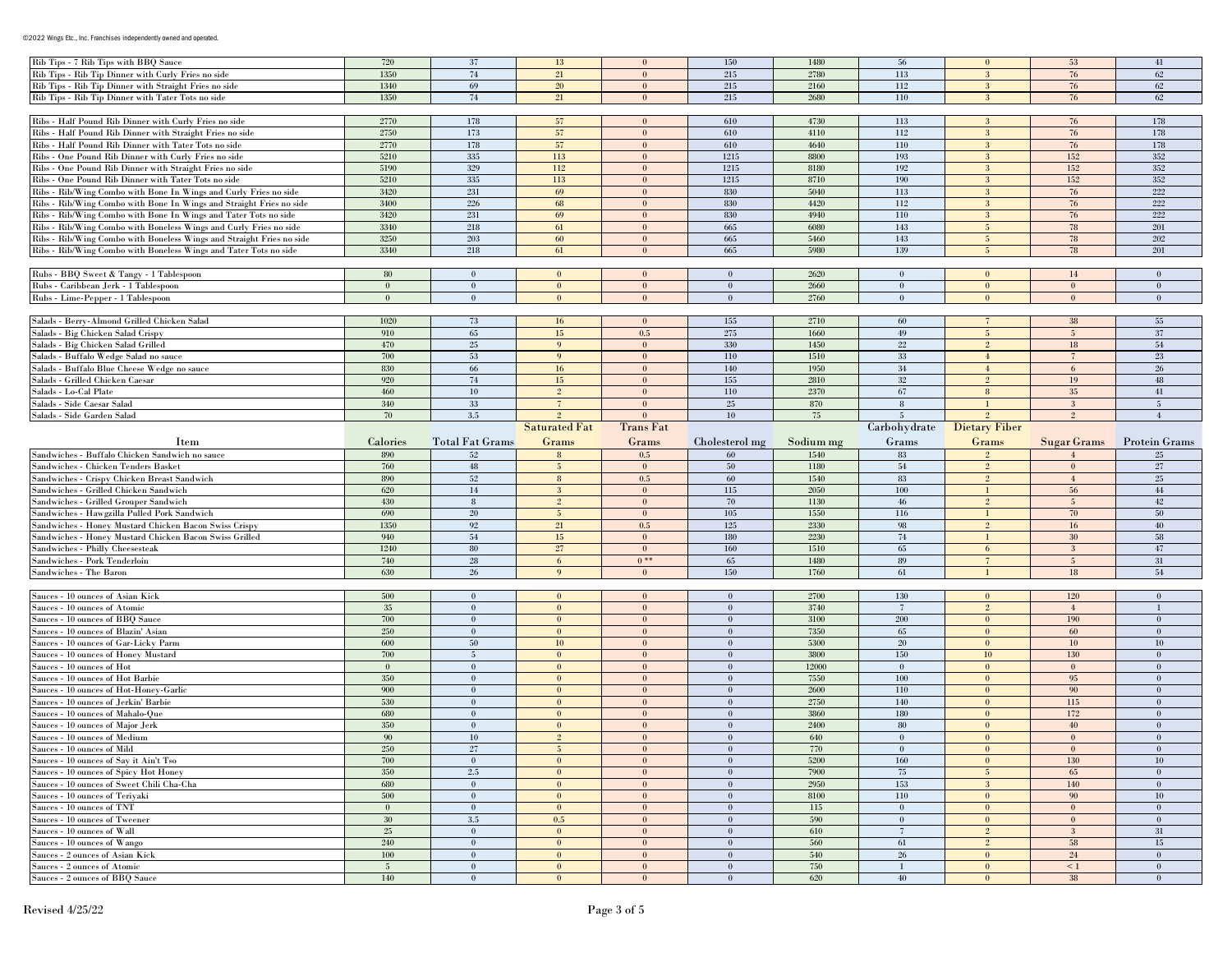| Rib Tips - 7 Rib Tips with BBQ Sauce                                 | 720                    | 37                     | 13                   | $\theta$             | 150                      | 1480       | 56                 | $\mathbf{0}$               | 53              | 41                       |
|----------------------------------------------------------------------|------------------------|------------------------|----------------------|----------------------|--------------------------|------------|--------------------|----------------------------|-----------------|--------------------------|
| Rib Tips - Rib Tip Dinner with Curly Fries no side                   | 1350                   | 74                     | 21                   | $\bf{0}$             | 215                      | 2780       | 113                | 3                          | 76              | 62                       |
| Rib Tips - Rib Tip Dinner with Straight Fries no side                | 1340                   | 69                     | $20\,$               | $\mathbf{0}$         | 215                      | 2160       | 112                | $\mathbf{3}$               | 76              | 62                       |
| Rib Tips - Rib Tip Dinner with Tater Tots no side                    | 1350                   | 74                     | 21                   | $\mathbf{0}$         | 215                      | 2680       | 110                | -3                         | 76              | 62                       |
|                                                                      |                        |                        |                      |                      |                          |            |                    |                            |                 |                          |
| Ribs - Half Pound Rib Dinner with Curly Fries no side                | 2770                   | 178                    | 57                   | $\bf{0}$             | 610                      | 4730       | 113                | -3                         | 76              | 178                      |
| Ribs - Half Pound Rib Dinner with Straight Fries no side             | 2750                   | 173                    | 57                   | $\mathbf{0}$         | 610                      | 4110       | 112                | $\mathbf{3}$               | $76\,$          | 178                      |
| Ribs - Half Pound Rib Dinner with Tater Tots no side                 | 2770                   | 178                    | 57                   | $\mathbf{0}$         | 610                      | 4640       | 110                | -3                         | 76              | 178                      |
|                                                                      |                        |                        |                      |                      |                          |            |                    |                            |                 |                          |
| Ribs - One Pound Rib Dinner with Curly Fries no side                 | 5210                   | 335                    | 113                  | $\theta$             | 1215                     | 8800       | 193                | -3                         | 152             | 352                      |
| Ribs - One Pound Rib Dinner with Straight Fries no side              | 5190                   | 329                    | 112                  | $\mathbf{0}$         | 1215                     | 8180       | 192                | 3                          | 152             | 352                      |
| Ribs - One Pound Rib Dinner with Tater Tots no side                  | 5210                   | 335                    | 113                  | $\theta$             | 1215                     | 8710       | 190                | 3                          | 152             | 352                      |
| Ribs - Rib/Wing Combo with Bone In Wings and Curly Fries no side     | 3420                   | $231\,$                | 69                   | $\mathbf{0}$         | 830                      | 5040       | 113                | 3                          | 76              | $222\,$                  |
| Ribs - Rib/Wing Combo with Bone In Wings and Straight Fries no side  | 3400                   | 226                    | 68                   | $\theta$             | 830                      | 4420       | 112                | 3                          | 76              | 222                      |
| Ribs - Rib/Wing Combo with Bone In Wings and Tater Tots no side      | 3420                   | 231                    | 69                   | $\mathbf{0}$         | 830                      | 4940       | 110                | 3                          | 76              | 222                      |
| Ribs - Rib/Wing Combo with Boneless Wings and Curly Fries no side    | 3340                   | 218                    | 61                   | $\mathbf{0}$         | 665                      | 6080       | 143                | 5 <sup>5</sup>             | 78              | 201                      |
| Ribs - Rib/Wing Combo with Boneless Wings and Straight Fries no side | 3250                   | 203                    | 60                   | $\mathbf{0}$         | 665                      | 5460       | 143                | 5 <sup>5</sup>             | 78              | 202                      |
| Ribs - Rib/Wing Combo with Boneless Wings and Tater Tots no side     | 3340                   | 218                    | 61                   | $\mathbf{0}$         | 665                      | 5980       | 139                | 5                          | 78              | 201                      |
|                                                                      |                        |                        |                      |                      |                          |            |                    |                            |                 |                          |
| Rubs - BBQ Sweet & Tangy - 1 Tablespoon                              | 80                     | $\mathbf{0}$           | $\bf{0}$             | $\mathbf{0}$         | $\bf{0}$                 | 2620       | $\mathbf{0}$       | $\mathbf{0}$               | 14              | $\theta$                 |
| Rubs - Caribbean Jerk - 1 Tablespoon                                 | $\overline{0}$         | $\bf{0}$               | $\overline{0}$       | $\mathbf{0}$         | $\mathbf{0}$             | 2660       | $\mathbf{0}$       | $\mathbf{0}$               | $\mathbf{0}$    | $\mathbf{0}$             |
| Rubs - Lime-Pepper - 1 Tablespoon                                    | $\mathbf{0}$           | $\mathbf{0}$           | $\mathbf{0}$         | $\mathbf{0}$         | $\mathbf{0}$             | 2760       | $\mathbf{0}$       | $\mathbf{0}$               | $\mathbf{0}$    | $\theta$                 |
|                                                                      |                        |                        |                      |                      |                          |            |                    |                            |                 |                          |
|                                                                      |                        |                        |                      |                      |                          |            |                    |                            |                 |                          |
| Salads - Berry-Almond Grilled Chicken Salad                          | 1020                   | 73                     | 16                   | $\mathbf{0}$         | 155                      | 2710       | 60                 |                            | 38              | 55                       |
| Salads - Big Chicken Salad Crispy                                    | 910                    | 65                     | $15\,$               | $0.5\,$              | $275\,$                  | 1660       | 49                 | $5\phantom{.0}$            | 5               | 37                       |
| Salads - Big Chicken Salad Grilled                                   | 470                    | $25\,$                 | 9                    | $\mathbf{0}$         | 330                      | 1450       | $22\,$             | $\overline{2}$             | 18              | 54                       |
| Salads - Buffalo Wedge Salad no sauce                                | 700                    | 53                     | 9                    | $\mathbf{0}$         | $110\,$                  | 1510       | $33\,$             | $4\overline{ }$            | $7\phantom{.0}$ | 23                       |
| Salads - Buffalo Blue Cheese Wedge no sauce                          | 830                    | 66                     | 16                   | $\mathbf{0}$         | 140                      | 1950       | $34\,$             | $\overline{4}$             | 6               | 26                       |
| Salads - Grilled Chicken Caesar                                      | 920                    | 74                     | 15                   | $\mathbf{0}$         | 155                      | 2810       | $32\,$             | $\overline{2}$             | 19              | 48                       |
| Salads - Lo-Cal Plate                                                | 460                    | 10                     | $\overline{2}$       | $\bf{0}$             | 110                      | 2370       | 67                 | 8                          | 35              | 41                       |
| Salads - Side Caesar Salad                                           | 340                    | $33\,$                 | $\overline{7}$       | $\mathbf{0}$         | $25\,$                   | 870        | $\,$ 8             |                            | 3               | $\overline{5}$           |
| Salads - Side Garden Salad                                           | 70                     | 3.5                    |                      | $\mathbf{0}$         | 10                       | 75         | $\overline{5}$     |                            | 2 <sup>0</sup>  | $\overline{4}$           |
|                                                                      |                        |                        | <b>Saturated Fat</b> | <b>Trans Fat</b>     |                          |            |                    | Carbohydrate Dietary Fiber |                 |                          |
| Item                                                                 | Calories               | <b>Total Fat Grams</b> | Grams                | Grams                | Cholesterol mg           | Sodium mg  | Grams              | Grams                      | Sugar Grams     | <b>Protein Grams</b>     |
|                                                                      |                        |                        |                      |                      |                          |            |                    |                            |                 |                          |
| Sandwiches - Buffalo Chicken Sandwich no sauce                       | 890<br>760             | 52                     | 8                    | 0.5                  | 60                       | 1540       | 83                 |                            |                 | 25                       |
| Sandwiches - Chicken Tenders Basket                                  |                        |                        |                      |                      |                          |            |                    |                            |                 |                          |
|                                                                      |                        | 48                     | -5                   | $\bf{0}$             | 50                       | 1180       | 54                 | $\overline{2}$             | $\mathbf{0}$    | 27                       |
| Sandwiches - Crispy Chicken Breast Sandwich                          | 890                    | $52\,$                 | $\,$ 8 $\,$          | 0.5                  | 60                       | 1540       | 83                 | $\mathcal{D}$              | $\overline{4}$  | 25                       |
| Sandwiches - Grilled Chicken Sandwich                                | 620                    | $14\phantom{.}$        | $\mathbf{3}$         | $\mathbf{0}$         | 115                      | 2050       | 100                |                            | 56              | 44                       |
| Sandwiches - Grilled Grouper Sandwich                                | 430                    | 8                      | $\overline{2}$       | $\mathbf{0}$         | 70                       | 1130       | 46                 | $\overline{2}$             | $5\overline{)}$ | 42                       |
| Sandwiches - Hawgzilla Pulled Pork Sandwich                          | 690                    | 20                     | -5                   | $\mathbf{0}$         | 105                      | 1550       | 116                |                            | 70              | 50                       |
| Sandwiches - Honey Mustard Chicken Bacon Swiss Crispy                | 1350                   | 92                     | 21                   | 0.5                  | 125                      | 2330       | 98                 | $\overline{2}$             | 16              | 40                       |
| Sandwiches - Honey Mustard Chicken Bacon Swiss Grilled               | 940                    | $54\,$                 | 15                   | $\bf{0}$             | 180                      | 2230       | 74                 |                            | 30              | 58                       |
| Sandwiches - Philly Cheesesteak                                      | 1240                   | 80                     | $27\,$               | $\theta$             | 160                      | 1510       | 65                 | 6                          | 3               | 47                       |
| Sandwiches - Pork Tenderloin                                         | 740                    | 28                     | 6                    | $0***$               | 65                       | 1480       | 89                 | $7\phantom{.0}$            | 5               | 31                       |
| Sandwiches - The Baron                                               | 630                    | 26                     | 9                    | $\theta$             | 150                      | 1760       | 61                 |                            | 18              | 54                       |
|                                                                      |                        |                        |                      |                      |                          |            |                    |                            |                 |                          |
|                                                                      |                        |                        |                      | $\mathbf{0}$         |                          |            |                    | $\mathbf{0}$               |                 | $\theta$                 |
| Sauces - 10 ounces of Asian Kick                                     | 500                    | $\mathbf{0}$           | $\bf{0}$             |                      | $\bf{0}$                 | 2700       | 130                |                            | 120             | $\mathbf{I}$             |
| Sauces - 10 ounces of Atomic                                         | 35                     | $\theta$               | $\mathbf{0}$         | $\mathbf{0}$         | $\mathbf{0}$             | 3740       | $\overline{7}$     | $\overline{2}$             | $\overline{4}$  |                          |
| Sauces - 10 ounces of BBQ Sauce                                      | 700                    | $\mathbf{0}$           | $\mathbf{0}$         | $\mathbf{0}$         | $\mathbf{0}$             | 3100       | 200                | $\mathbf{0}$               | 190             | $\theta$                 |
| Sauces - 10 ounces of Blazin' Asian                                  | 250                    | $\bf{0}$               | $\mathbf{0}$         | $\mathbf{0}$         | $\mathbf{0}$             | 7350       | 65                 | $\mathbf{0}$               | 60              | $\mathbf{0}$             |
| Sauces - 10 ounces of Gar-Licky Parm                                 | 600                    | 50                     | 10                   | $\mathbf{0}$         | $\bf{0}$                 | 5300       | 20                 | $\mathbf{0}$               | 10              | 10                       |
| Sauces - 10 ounces of Honey Mustard                                  | 700                    | $\overline{5}$         | $\overline{0}$       | $\mathbf{0}$         | $\mathbf{0}$             | 3800       | 150                | 10 <sup>°</sup>            | 130             | $\theta$                 |
| Sauces - 10 ounces of Hot                                            | $\theta$               | $\mathbf{0}$           | $\mathbf{0}$         | $\mathbf{0}$         | $\mathbf{0}$             | 12000      | $\mathbf{0}$       | $\bf{0}$                   | $\mathbf{0}$    | $\theta$                 |
| Sauces - 10 ounces of Hot Barbie                                     | 350                    | $\bf{0}$               | $\mathbf{0}$         | $\mathbf{0}$         | $\mathbf{0}$             | 7550       | 100                | $\mathbf{0}$               | 95              | $\mathbf{0}$             |
| Sauces - 10 ounces of Hot-Honey-Garlic                               | 900                    | $\mathbf{0}$           | $\overline{0}$       | $\mathbf{0}$         | $\bf{0}$                 | 2600       | 110                | $\theta$                   | 90              | $\theta$                 |
| Sauces - 10 ounces of Jerkin' Barbie                                 | 530                    | $\theta$               | $\overline{0}$       | $\theta$             | $\mathbf{0}$             | 2750       | 140                | $\mathbf{0}$               | 115             | $\theta$                 |
| Sauces - 10 ounces of Mahalo-Que                                     | 680                    | $\mathbf{0}$           | $\mathbf{0}$         | $\mathbf{0}$         | $\bf{0}$                 | 3860       | 180                | $\mathbf{0}$               | 172             | $\theta$                 |
| Sauces - 10 ounces of Major Jerk                                     | 350                    | $\theta$               | $\mathbf{0}$         | $\mathbf{0}$         | $\mathbf{0}$             | 2400       | 80                 | $\mathbf{0}$               | 40              | $\mathbf{0}$             |
| Sauces - 10 ounces of Medium                                         | 90                     | $10\,$                 | $\overline{2}$       | $\mathbf{0}$         | $\mathbf{0}$             | 640        | $\mathbf{0}$       | $\mathbf{0}$               | $\mathbf{0}$    | $\mathbf{0}$             |
|                                                                      | $250\,$                | 27                     | $\overline{5}$       | $\bf{0}$             | $\bf{0}$                 | 770        | $\bf{0}$           | $\bf{0}$                   | $\bf{0}$        | $\bf{0}$                 |
| Sauces - 10 ounces of Mild<br>Sauces - 10 ounces of Say it Ain't Tso | 700                    | $\mathbf{0}$           | $\mathbf{0}$         | $\mathbf{0}$         | $\mathbf{0}$             | 5200       | 160                | $\bf{0}$                   | 130             | $10\,$                   |
| Sauces - 10 ounces of Spicy Hot Honey                                | 350                    | $2.5\,$                | $\bf{0}$             | $\bf{0}$             | $\bf{0}$                 | 7900       | 75                 | $5\overline{)}$            | 65              | $\bf{0}$                 |
| Sauces - 10 ounces of Sweet Chili Cha-Cha                            | 680                    | $\mathbf{0}$           | $\bf{0}$             | $\bf{0}$             | $\bf{0}$                 | 2950       | 153                | 3                          | 140             | $\bf{0}$                 |
| Sauces - 10 ounces of Teriyaki                                       | 500                    | $\boldsymbol{0}$       | $\mathbf{0}$         | $\bf{0}$             | $\mathbf{0}$             | 8100       | 110                | $\bf{0}$                   | $90\,$          | $10\,$                   |
| Sauces - 10 ounces of TNT                                            | $\mathbf{0}$           | $\mathbf{0}$           | $\mathbf{0}$         | $\mathbf{0}$         | $\mathbf{0}$             | 115        | $\bf{0}$           | $\mathbf{0}$               | $\mathbf{0}$    | $\mathbf{0}$             |
|                                                                      |                        |                        |                      |                      |                          |            |                    |                            |                 |                          |
| Sauces - 10 ounces of Tweener                                        | 30                     | 3.5                    | 0.5                  | $\bf{0}$             | $\bf{0}$                 | 590        | $\bf{0}$           | $\bf{0}$                   | $\bf{0}$        | $\bf{0}$                 |
| Sauces - 10 ounces of Wall                                           | 25                     | $\bf{0}$               | $\bf{0}$             | $\bf{0}$             | $\bf{0}$                 | 610        | $7\phantom{.0}$    | $2^{\circ}$                | 3               | 31                       |
| Sauces - 10 ounces of Wango                                          | 240                    | $\mathbf{0}$           | $\bf{0}$             | $\bf{0}$             | $\bf{0}$                 | 560        | 61                 | $\overline{2}$             | 58              | 15                       |
| Sauces - 2 ounces of Asian Kick                                      | 100                    | $\mathbf{0}$           | $\bf{0}$             | $\mathbf{0}$         | $\bf{0}$                 | 540        | 26                 | $\mathbf{0}$               | 24              | $\bf{0}$                 |
| Sauces - 2 ounces of Atomic<br>Sauces - 2 ounces of BBQ Sauce        | $5\overline{)}$<br>140 | $\bf{0}$<br>$\bf{0}$   | $\bf{0}$<br>$\bf{0}$ | $\bf{0}$<br>$\bf{0}$ | $\bf{0}$<br>$\mathbf{0}$ | 750<br>620 | $\mathbf{1}$<br>40 | $\mathbf{0}$<br>$\bf{0}$   | $\leq 1$<br>38  | $\bf{0}$<br>$\mathbf{0}$ |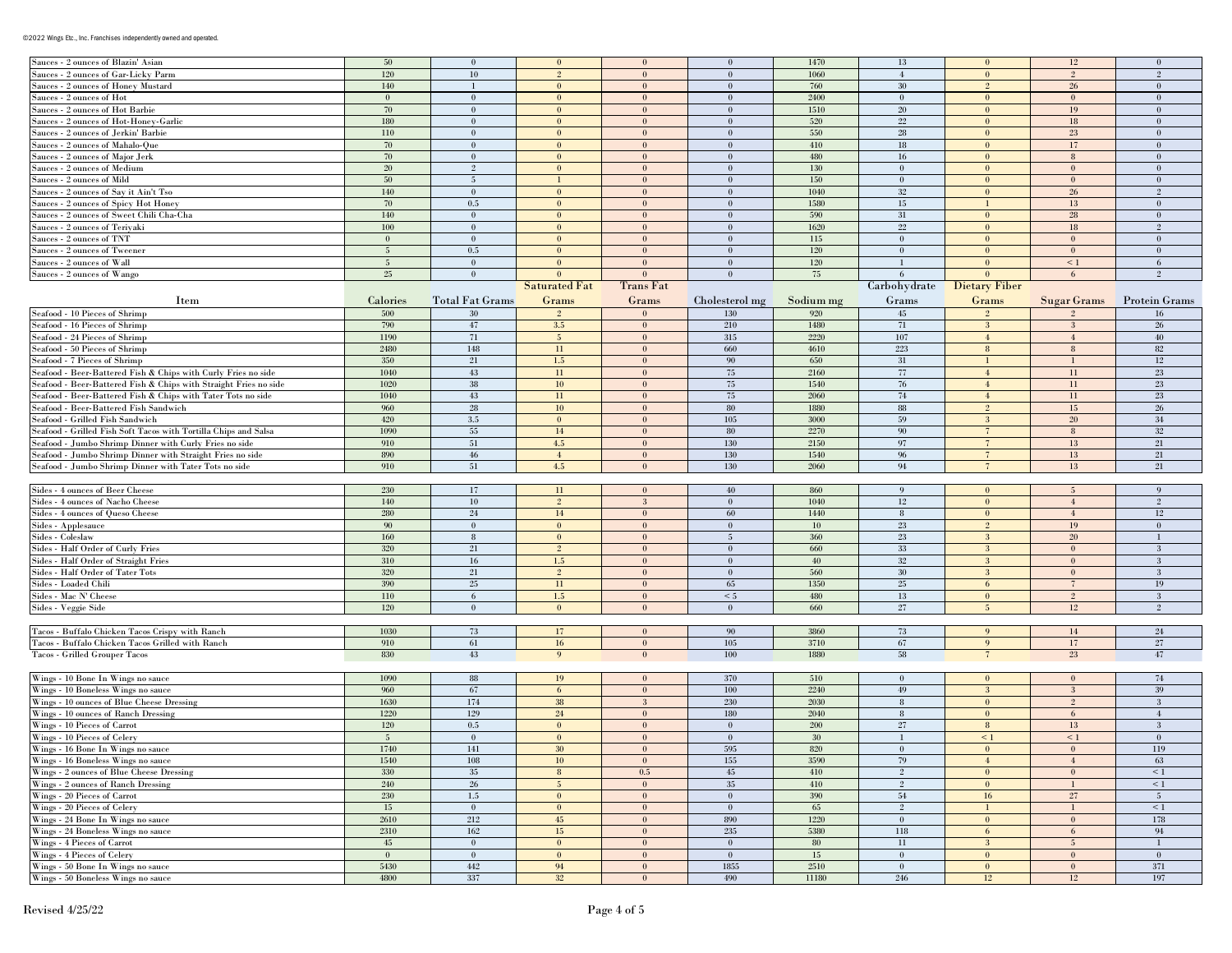## ©2022 Wings Etc., Inc. Franchises independently owned and operated.

| Sauces - 2 ounces of Blazin' Asian                               | 50             | $\mathbf{0}$           | $\mathbf{0}$         | $\bf{0}$     | $\mathbf{0}$    | 1470      | 13              | $\bf{0}$        | 12              | $\theta$             |
|------------------------------------------------------------------|----------------|------------------------|----------------------|--------------|-----------------|-----------|-----------------|-----------------|-----------------|----------------------|
| Sauces - 2 ounces of Gar-Licky Parm                              | 120            | $10\,$                 | $\overline{2}$       | $\mathbf{0}$ | $\theta$        | 1060      | $\overline{4}$  | $\mathbf{0}$    | $\overline{2}$  | $\overline{2}$       |
| Sauces - 2 ounces of Honey Mustard                               | 140            | -1                     | $\bf{0}$             | $\bf{0}$     | $\bf{0}$        | 760       | 30              | $2^{\circ}$     | 26              | $\bf{0}$             |
| Sauces - 2 ounces of Hot                                         | $\mathbf{0}$   | $\bf{0}$               | $\theta$             | $\bf{0}$     | $\theta$        | 2400      | $\theta$        | $\mathbf{0}$    | $\theta$        | $\theta$             |
| Sauces - 2 ounces of Hot Barbie                                  | 70             | $\bf{0}$               | $\bf{0}$             | $\bf{0}$     | $\bf{0}$        | 1510      | 20              | $\mathbf{0}$    | 19              | $\overline{0}$       |
| Sauces - 2 ounces of Hot-Honey-Garlic                            | 180            | $\mathbf{0}$           | $\mathbf{0}$         | $\mathbf{0}$ | $\mathbf{0}$    | 520       | $22\,$          | $\mathbf{0}$    | $18\,$          | $\theta$             |
| Sauces - 2 ounces of Jerkin' Barbie                              | 110            | $\bf{0}$               | $\bf{0}$             | $\bf{0}$     | $\bf{0}$        | 550       | 28              | $\bf{0}$        | 23              | $\bf{0}$             |
| Sauces - 2 ounces of Mahalo-Que                                  | 70             | $\bf{0}$               | $\mathbf{0}$         | $\bf{0}$     | $\bf{0}$        | 410       | 18              | $\mathbf{0}$    | 17              | $\theta$             |
| Sauces - 2 ounces of Major Jerk                                  | 70             | $\bf{0}$               | $\mathbf{0}$         | $\mathbf{0}$ | $\bf{0}$        | 480       | 16              | $\mathbf{0}$    | 8               | $\theta$             |
| Sauces - 2 ounces of Medium                                      | 20             | $\overline{2}$         | $\mathbf{0}$         | $\mathbf{0}$ | $\mathbf{0}$    | 130       | $\mathbf{0}$    | $\mathbf{0}$    | $\mathbf{0}$    | $\mathbf{0}$         |
| Sauces - 2 ounces of Mild                                        | 50             | $5\overline{)}$        | $\mathbf{1}$         | $\mathbf{0}$ | $\bf{0}$        | 150       | $\mathbf{0}$    | $\mathbf{0}$    | $\mathbf{0}$    | $\mathbf{0}$         |
| Sauces - 2 ounces of Say it Ain't Tso                            | 140            | $\bf{0}$               | $\mathbf{0}$         | $\bf{0}$     | $\mathbf{0}$    | 1040      | $32\,$          | $\mathbf{0}$    | 26              | $\overline{2}$       |
| Sauces - 2 ounces of Spicy Hot Honey                             | 70             | $0.5\,$                | $\mathbf{0}$         | $\mathbf{0}$ | $\bf{0}$        | 1580      | 15              | $\mathbf{1}$    | 13              | $\theta$             |
| Sauces - 2 ounces of Sweet Chili Cha-Cha                         | 140            | $\bf{0}$               | $\mathbf{0}$         | $\mathbf{0}$ | $\mathbf{0}$    | 590       | 31              | $\mathbf{0}$    | 28              | $\mathbf{0}$         |
| Sauces - 2 ounces of Teriyaki                                    | 100            | $\bf{0}$               | $\mathbf{0}$         | $\mathbf{0}$ | $\mathbf{0}$    | 1620      | $22\,$          | $\mathbf{0}$    | 18              | 2                    |
| Sauces - 2 ounces of TNT                                         | $\overline{0}$ | $\bf{0}$               | $\mathbf{0}$         | $\bf{0}$     | $\bf{0}$        | $115\,$   | $\mathbf{0}$    | $\mathbf{0}$    | $\mathbf{0}$    | $\theta$             |
| Sauces - 2 ounces of Tweener                                     | 5 <sup>5</sup> | $\rm 0.5$              | $\mathbf{0}$         | $\mathbf{0}$ | $\mathbf{0}$    | $120\,$   | $\mathbf{0}$    | $\mathbf{0}$    | $\mathbf{0}$    | $\theta$             |
| Sauces - 2 ounces of Wall                                        | 5 <sup>5</sup> | $\mathbf{0}$           | $\overline{0}$       | $\mathbf{0}$ | $\mathbf{0}$    | 120       |                 | $\mathbf{0}$    | $\leq 1$        | 6                    |
| Sauces - 2 ounces of Wango                                       | $25\,$         | $\theta$               | $\Omega$             | $\theta$     | $\Omega$        | 75        |                 | $\Omega$        | 6               |                      |
|                                                                  |                |                        | <b>Saturated Fat</b> | Trans Fat    |                 |           | Carbohydrate    | Dietary Fiber   |                 |                      |
| Item                                                             | Calories       | <b>Total Fat Grams</b> | Grams                | Grams        | Cholesterol mg  | Sodium mg | Grams           | Grams           | Sugar Grams     | <b>Protein Grams</b> |
| Seafood - 10 Pieces of Shrimp                                    | 500            | 30                     |                      | $\bf{0}$     | 130             | 920       | 45              | $\overline{2}$  |                 | 16                   |
| Seafood - 16 Pieces of Shrimp                                    | 790            | 47                     | 3.5                  | $\mathbf{0}$ | $210\,$         | 1480      | 71              | $\mathbf{3}$    | 3               | 26                   |
| Seafood - 24 Pieces of Shrimp                                    | 1190           | 71                     | $5\phantom{.0}$      | $\bf{0}$     | 315             | 2220      | 107             | $\overline{4}$  | $\overline{4}$  | 40                   |
| Seafood - 50 Pieces of Shrimp                                    | 2480           | 148                    | 11                   | $\mathbf{0}$ | 660             | 4610      | 223             | $\bf 8$         | 8               | 82                   |
| Seafood - 7 Pieces of Shrimp                                     | 350            | 21                     | $1.5\,$              | $\bf{0}$     | 90              | 650       | 31              | -1              |                 | 12                   |
| Seafood - Beer-Battered Fish & Chips with Curly Fries no side    | 1040           | $43\,$                 | $11\,$               | $\mathbf{0}$ | 75              | 2160      | $77\,$          | $\overline{4}$  | 11              | $23\,$               |
| Seafood - Beer-Battered Fish & Chips with Straight Fries no side | 1020           | $38\,$                 | 10 <sup>°</sup>      | $\bf{0}$     | 75              | 1540      | 76              | $\overline{4}$  | 11              | 23                   |
| Seafood - Beer-Battered Fish & Chips with Tater Tots no side     | 1040           | 43                     | 11                   | $\mathbf{0}$ | 75              | 2060      | $74\,$          | $\overline{4}$  | 11              | 23                   |
| Seafood - Beer-Battered Fish Sandwich                            | 960            | 28                     | 10 <sup>°</sup>      | $\bf{0}$     | 80              | 1880      | 88              | $\overline{2}$  | 15              | 26                   |
| Seafood - Grilled Fish Sandwich                                  | 420            | $3.5\,$                | $\mathbf{0}$         | $\mathbf{0}$ | 105             | 3000      | 59              | $\mathbf{3}$    | 20              | $34\,$               |
| Seafood - Grilled Fish Soft Tacos with Tortilla Chips and Salsa  | 1090           | $55\,$                 | 14                   | $\bf{0}$     | 80              | 2270      | 90              | $\overline{7}$  | 8               | 32                   |
| Seafood - Jumbo Shrimp Dinner with Curly Fries no side           | 910            | $51\,$                 | 4.5                  | $\mathbf{0}$ | 130             | 2150      | 97              | $\overline{7}$  | 13              | 21                   |
| Seafood - Jumbo Shrimp Dinner with Straight Fries no side        | 890            | 46                     | $4\phantom{.}$       | $\bf{0}$     | 130             | 1540      | 96              | $7\phantom{.0}$ | 13              | $21\,$               |
| Seafood - Jumbo Shrimp Dinner with Tater Tots no side            | 910            | 51                     | 4.5                  | $\mathbf{0}$ | 130             | 2060      | 94              | $\overline{7}$  | 13              | 21                   |
|                                                                  |                |                        |                      |              |                 |           |                 |                 |                 |                      |
| Sides - 4 ounces of Beer Cheese                                  | 230            | 17                     | 11                   | $\bf{0}$     | 40              | 860       | 9               | $\mathbf{0}$    | $5\overline{)}$ | 9                    |
| Sides - 4 ounces of Nacho Cheese                                 | 140            | $10\,$                 | $\overline{2}$       | 3            | $\bf{0}$        | 1040      | $12\,$          | $\mathbf{0}$    | $\overline{4}$  | $\overline{2}$       |
| Sides - 4 ounces of Queso Cheese                                 | 280            | $24\,$                 | 14                   | $\mathbf{0}$ | 60              | 1440      | 8               | $\mathbf{0}$    | $\overline{4}$  | $12\,$               |
| Sides - Applesauce                                               | 90             | $\mathbf{0}$           | $\mathbf{0}$         | $\mathbf{0}$ | $\bf{0}$        | $10\,$    | 23              | $2^{\circ}$     | 19              | $\bf{0}$             |
| Sides - Coleslaw                                                 | 160            | 8                      | $\mathbf{0}$         | $\mathbf{0}$ | $5\phantom{.0}$ | 360       | 23              | $\mathbf{3}$    | 20              | $\mathbf{1}$         |
| Sides - Half Order of Curly Fries                                | 320            | 21                     | $2\overline{ }$      | $\mathbf{0}$ | $\mathbf{0}$    | 660       | 33              | $\mathbf{3}$    | $\mathbf{0}$    | 3                    |
| Sides - Half Order of Straight Fries                             | 310            | 16                     | 1.5                  | $\mathbf{0}$ | $\mathbf{0}$    | 40        | $32\,$          | $\mathbf{3}$    | $\theta$        | 3                    |
| Sides - Half Order of Tater Tots                                 | 320            | 21                     | $2\overline{ }$      | $\mathbf{0}$ | $\mathbf{0}$    | 560       | 30              | $\mathbf{3}$    | $\mathbf{0}$    | $\mathbf{3}$         |
| Sides - Loaded Chili                                             | 390            | $25\,$                 | 11                   | $\mathbf{0}$ | 65              | 1350      | $25\,$          | 6               |                 | 19                   |
| Sides - Mac N' Cheese                                            | $110\,$        | 6                      | $1.5\,$              | $\mathbf{0}$ | $\leq 5$        | 480       | $13\,$          | $\mathbf{0}$    | $\overline{2}$  | $\sqrt{3}$           |
| Sides - Veggie Side                                              | $120\,$        | $\mathbf{0}$           | $\mathbf{0}$         | $\mathbf{0}$ | $\mathbf{0}$    | 660       | 27              | 5               | 12              | $\overline{2}$       |
|                                                                  |                |                        |                      |              |                 |           |                 |                 |                 |                      |
| Tacos - Buffalo Chicken Tacos Crispy with Ranch                  | 1030           | 73                     | 17                   | $\bf{0}$     | 90              | 3860      | 73              | 9               | 14              | $24\,$               |
| Tacos - Buffalo Chicken Tacos Grilled with Ranch                 | 910            | 61                     | 16                   | $\mathbf{0}$ | 105             | 3710      | 67              | $\overline{9}$  | 17              | $27\,$               |
| Tacos - Grilled Grouper Tacos                                    | $830\,$        | 43                     | 9                    | $\mathbf{0}$ | 100             | 1880      | 58              | $\overline{7}$  | 23              | 47                   |
|                                                                  |                |                        |                      |              |                 |           |                 |                 |                 |                      |
| Wings - 10 Bone In Wings no sauce                                | 1090           | 88                     | 19                   | $\bf{0}$     | 370             | 510       | $\mathbf{0}$    | $\bf{0}$        | $\mathbf{0}$    | $74\,$               |
| Wings - 10 Boneless Wings no sauce                               | 960            | 67                     | 6                    | $\mathbf{0}$ | $100\,$         | 2240      | $49\,$          | 3               | 3               | 39                   |
| Wings - 10 ounces of Blue Cheese Dressing                        | 1630           | 174                    | 38                   | 3            | 230             | 2030      | $8\phantom{.0}$ | $\mathbf{0}$    | $\overline{2}$  | $\mathbf{3}$         |
| Wings - 10 ounces of Ranch Dressing                              | 1220           | 129                    | $24\,$               | $\mathbf{0}$ | 180             | 2040      | 8               | $\mathbf{0}$    | 6               | $\overline{4}$       |
| Wings - 10 Pieces of Carrot                                      | $120\,$        | $0.5\,$                | $\mathbf{0}$         | $\bf{0}$     | $\bf{0}$        | $200\,$   | 27              | 8               | 13              | $\mathbf{3}$         |
| Wings - 10 Pieces of Celery                                      | 5 <sup>5</sup> | $\boldsymbol{0}$       | $\mathbf{0}$         | $\mathbf{0}$ | $\mathbf{0}$    | $30\,$    |                 | $\leq 1$        | $\leq 1$        | $\theta$             |
| Wings - 16 Bone In Wings no sauce                                | 1740           | 141                    | 30                   | $\theta$     | 595             | 820       |                 | $\theta$        | $\theta$        | 119                  |
| Wings - 16 Boneless Wings no sauce                               | 1540           | $108\,$                | 10 <sup>°</sup>      | $\mathbf{0}$ | 155             | 3590      | 79              | $\overline{4}$  | $\overline{4}$  | 63                   |
| Wings - 2 ounces of Blue Cheese Dressing                         | 330            | $35\,$                 | 8                    | $0.5\,$      | 45              | 410       | $\overline{2}$  | $\bf{0}$        | $\mathbf{0}$    | $\leq 1$             |
| Wings - 2 ounces of Ranch Dressing                               | 240            | 26                     | $5\overline{)}$      | $\mathbf{0}$ | 35              | 410       | $\overline{2}$  | $\mathbf{0}$    |                 | $\leq 1$             |
| Wings - 20 Pieces of Carrot                                      | 230            | $1.5\,$                | $\mathbf{0}$         | $\mathbf{0}$ | $\mathbf{0}$    | 390       | 54              | 16              | 27              | $5\overline{)}$      |
| Wings - 20 Pieces of Celery                                      | $15\,$         | $\mathbf{0}$           | $\mathbf{0}$         | $\mathbf{0}$ | $\bf{0}$        | 65        | $\overline{2}$  | $\mathbf{1}$    | -1              | $\leq 1$             |
| Wings - 24 Bone In Wings no sauce                                | 2610           | 212                    | 45                   | $\mathbf{0}$ | 890             | 1220      | $\bf{0}$        | $\mathbf{0}$    | $\mathbf{0}$    | 178                  |
| Wings - 24 Boneless Wings no sauce                               | 2310           | 162                    | $15\,$               | $\mathbf{0}$ | 235             | 5380      | 118             | 6               | 6               | 94                   |
| Wings - 4 Pieces of Carrot                                       | 45             | $\mathbf{0}$           | $\mathbf{0}$         | $\mathbf{0}$ | $\bf{0}$        | 80        | $11\,$          | 3               | $5\overline{)}$ | $\mathbf{1}$         |
| Wings - 4 Pieces of Celery                                       | $\mathbf{0}$   | $\mathbf{0}$           | $\mathbf{0}$         | $\mathbf{0}$ | $\mathbf{0}$    | $15\,$    | $\bf{0}$        | $\bf{0}$        | $\mathbf{0}$    | $\mathbf{0}$         |
| Wings - 50 Bone In Wings no sauce                                | 5430           | 442                    | 94                   | $\mathbf{0}$ | 1855            | 2510      | $\mathbf{0}$    | $\bf{0}$        | $\mathbf{0}$    | 371                  |
| Wings - 50 Boneless Wings no sauce                               | 4800           | 337                    | 32                   | $\mathbf{0}$ | 490             | $11180\,$ | 246             | 12              | 12              | 197                  |
|                                                                  |                |                        |                      |              |                 |           |                 |                 |                 |                      |